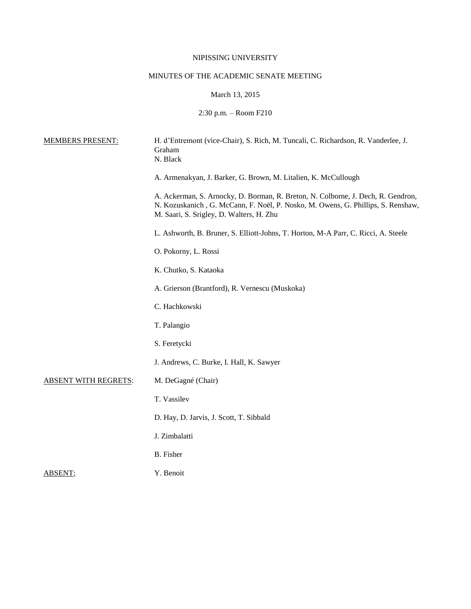# NIPISSING UNIVERSITY

# MINUTES OF THE ACADEMIC SENATE MEETING

March 13, 2015

2:30 p.m. – Room F210

| <b>MEMBERS PRESENT:</b>     | H. d'Entremont (vice-Chair), S. Rich, M. Tuncali, C. Richardson, R. Vanderlee, J.<br>Graham<br>N. Black                                                                                                          |
|-----------------------------|------------------------------------------------------------------------------------------------------------------------------------------------------------------------------------------------------------------|
|                             | A. Armenakyan, J. Barker, G. Brown, M. Litalien, K. McCullough                                                                                                                                                   |
|                             | A. Ackerman, S. Arnocky, D. Borman, R. Breton, N. Colborne, J. Dech, R. Gendron,<br>N. Kozuskanich, G. McCann, F. Noël, P. Nosko, M. Owens, G. Phillips, S. Renshaw,<br>M. Saari, S. Srigley, D. Walters, H. Zhu |
|                             | L. Ashworth, B. Bruner, S. Elliott-Johns, T. Horton, M-A Parr, C. Ricci, A. Steele                                                                                                                               |
|                             | O. Pokorny, L. Rossi                                                                                                                                                                                             |
|                             | K. Chutko, S. Kataoka                                                                                                                                                                                            |
|                             | A. Grierson (Brantford), R. Vernescu (Muskoka)                                                                                                                                                                   |
|                             | C. Hachkowski                                                                                                                                                                                                    |
|                             | T. Palangio                                                                                                                                                                                                      |
|                             | S. Feretycki                                                                                                                                                                                                     |
|                             | J. Andrews, C. Burke, I. Hall, K. Sawyer                                                                                                                                                                         |
| <b>ABSENT WITH REGRETS:</b> | M. DeGagné (Chair)                                                                                                                                                                                               |
|                             | T. Vassilev                                                                                                                                                                                                      |
|                             | D. Hay, D. Jarvis, J. Scott, T. Sibbald                                                                                                                                                                          |
|                             | J. Zimbalatti                                                                                                                                                                                                    |
|                             | <b>B.</b> Fisher                                                                                                                                                                                                 |
| <b>ABSENT:</b>              | Y. Benoit                                                                                                                                                                                                        |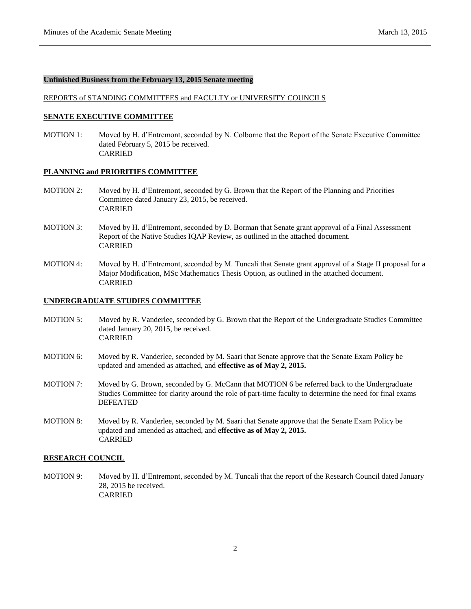#### **Unfinished Business from the February 13, 2015 Senate meeting**

## REPORTS of STANDING COMMITTEES and FACULTY or UNIVERSITY COUNCILS

### **SENATE EXECUTIVE COMMITTEE**

MOTION 1: Moved by H. d'Entremont, seconded by N. Colborne that the Report of the Senate Executive Committee dated February 5, 2015 be received. CARRIED

#### **PLANNING and PRIORITIES COMMITTEE**

- MOTION 2: Moved by H. d'Entremont, seconded by G. Brown that the Report of the Planning and Priorities Committee dated January 23, 2015, be received. CARRIED
- MOTION 3: Moved by H. d'Entremont, seconded by D. Borman that Senate grant approval of a Final Assessment Report of the Native Studies IQAP Review, as outlined in the attached document. CARRIED
- MOTION 4: Moved by H. d'Entremont, seconded by M. Tuncali that Senate grant approval of a Stage II proposal for a Major Modification, MSc Mathematics Thesis Option, as outlined in the attached document. CARRIED

## **UNDERGRADUATE STUDIES COMMITTEE**

- MOTION 5: Moved by R. Vanderlee, seconded by G. Brown that the Report of the Undergraduate Studies Committee dated January 20, 2015, be received. CARRIED
- MOTION 6: Moved by R. Vanderlee, seconded by M. Saari that Senate approve that the Senate Exam Policy be updated and amended as attached, and **effective as of May 2, 2015.**
- MOTION 7: Moved by G. Brown, seconded by G. McCann that MOTION 6 be referred back to the Undergraduate Studies Committee for clarity around the role of part-time faculty to determine the need for final exams DEFEATED
- MOTION 8: Moved by R. Vanderlee, seconded by M. Saari that Senate approve that the Senate Exam Policy be updated and amended as attached, and **effective as of May 2, 2015.** CARRIED

#### **RESEARCH COUNCIL**

MOTION 9: Moved by H. d'Entremont, seconded by M. Tuncali that the report of the Research Council dated January 28, 2015 be received. CARRIED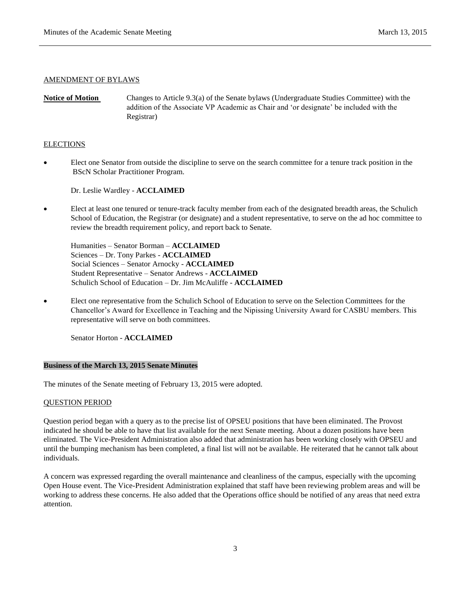## AMENDMENT OF BYLAWS

**Notice of Motion** Changes to Article 9.3(a) of the Senate bylaws (Undergraduate Studies Committee) with the addition of the Associate VP Academic as Chair and 'or designate' be included with the Registrar)

## **ELECTIONS**

 Elect one Senator from outside the discipline to serve on the search committee for a tenure track position in the BScN Scholar Practitioner Program.

Dr. Leslie Wardley - **ACCLAIMED**

 Elect at least one tenured or tenure-track faculty member from each of the designated breadth areas, the Schulich School of Education, the Registrar (or designate) and a student representative, to serve on the ad hoc committee to review the breadth requirement policy, and report back to Senate.

Humanities – Senator Borman – **ACCLAIMED** Sciences – Dr. Tony Parkes - **ACCLAIMED** Social Sciences – Senator Arnocky - **ACCLAIMED** Student Representative – Senator Andrews - **ACCLAIMED** Schulich School of Education – Dr. Jim McAuliffe - **ACCLAIMED**

 Elect one representative from the Schulich School of Education to serve on the Selection Committees for the Chancellor's Award for Excellence in Teaching and the Nipissing University Award for CASBU members. This representative will serve on both committees.

Senator Horton - **ACCLAIMED**

## **Business of the March 13, 2015 Senate Minutes**

The minutes of the Senate meeting of February 13, 2015 were adopted.

# QUESTION PERIOD

Question period began with a query as to the precise list of OPSEU positions that have been eliminated. The Provost indicated he should be able to have that list available for the next Senate meeting. About a dozen positions have been eliminated. The Vice-President Administration also added that administration has been working closely with OPSEU and until the bumping mechanism has been completed, a final list will not be available. He reiterated that he cannot talk about individuals.

A concern was expressed regarding the overall maintenance and cleanliness of the campus, especially with the upcoming Open House event. The Vice-President Administration explained that staff have been reviewing problem areas and will be working to address these concerns. He also added that the Operations office should be notified of any areas that need extra attention.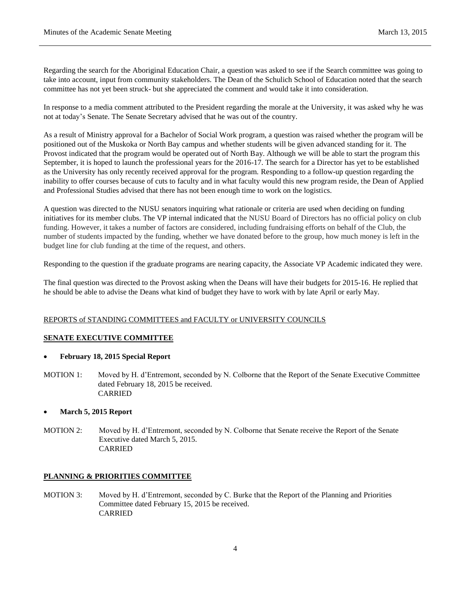Regarding the search for the Aboriginal Education Chair, a question was asked to see if the Search committee was going to take into account, input from community stakeholders. The Dean of the Schulich School of Education noted that the search committee has not yet been struck- but she appreciated the comment and would take it into consideration.

In response to a media comment attributed to the President regarding the morale at the University, it was asked why he was not at today's Senate. The Senate Secretary advised that he was out of the country.

As a result of Ministry approval for a Bachelor of Social Work program, a question was raised whether the program will be positioned out of the Muskoka or North Bay campus and whether students will be given advanced standing for it. The Provost indicated that the program would be operated out of North Bay. Although we will be able to start the program this September, it is hoped to launch the professional years for the 2016-17. The search for a Director has yet to be established as the University has only recently received approval for the program. Responding to a follow-up question regarding the inability to offer courses because of cuts to faculty and in what faculty would this new program reside, the Dean of Applied and Professional Studies advised that there has not been enough time to work on the logistics.

A question was directed to the NUSU senators inquiring what rationale or criteria are used when deciding on funding initiatives for its member clubs. The VP internal indicated that the NUSU Board of Directors has no official policy on club funding. However, it takes a number of factors are considered, including fundraising efforts on behalf of the Club, the number of students impacted by the funding, whether we have donated before to the group, how much money is left in the budget line for club funding at the time of the request, and others.

Responding to the question if the graduate programs are nearing capacity, the Associate VP Academic indicated they were.

The final question was directed to the Provost asking when the Deans will have their budgets for 2015-16. He replied that he should be able to advise the Deans what kind of budget they have to work with by late April or early May.

## REPORTS of STANDING COMMITTEES and FACULTY or UNIVERSITY COUNCILS

## **SENATE EXECUTIVE COMMITTEE**

- **February 18, 2015 Special Report**
- MOTION 1: Moved by H. d'Entremont, seconded by N. Colborne that the Report of the Senate Executive Committee dated February 18, 2015 be received. CARRIED

#### **March 5, 2015 Report**

MOTION 2: Moved by H. d'Entremont, seconded by N. Colborne that Senate receive the Report of the Senate Executive dated March 5, 2015. CARRIED

#### **PLANNING & PRIORITIES COMMITTEE**

MOTION 3: Moved by H. d'Entremont, seconded by C. Burke that the Report of the Planning and Priorities Committee dated February 15, 2015 be received. CARRIED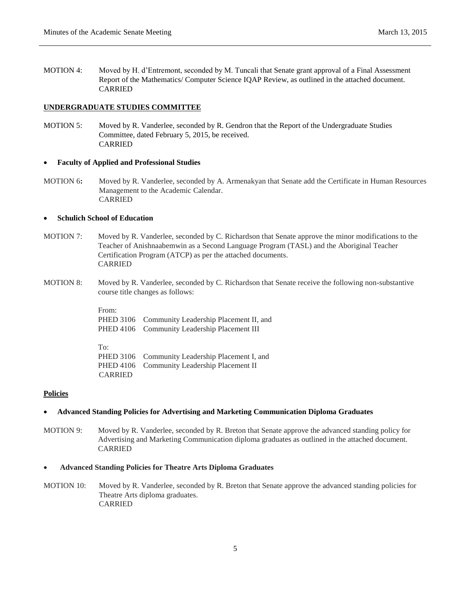MOTION 4: Moved by H. d'Entremont, seconded by M. Tuncali that Senate grant approval of a Final Assessment Report of the Mathematics/ Computer Science IQAP Review, as outlined in the attached document. CARRIED

#### **UNDERGRADUATE STUDIES COMMITTEE**

MOTION 5: Moved by R. Vanderlee, seconded by R. Gendron that the Report of the Undergraduate Studies Committee, dated February 5, 2015, be received. CARRIED

#### **Faculty of Applied and Professional Studies**

MOTION 6**:** Moved by R. Vanderlee, seconded by A. Armenakyan that Senate add the Certificate in Human Resources Management to the Academic Calendar. CARRIED

## **Schulich School of Education**

- MOTION 7: Moved by R. Vanderlee, seconded by C. Richardson that Senate approve the minor modifications to the Teacher of Anishnaabemwin as a Second Language Program (TASL) and the Aboriginal Teacher Certification Program (ATCP) as per the attached documents. CARRIED
- MOTION 8: Moved by R. Vanderlee, seconded by C. Richardson that Senate receive the following non-substantive course title changes as follows:

From: PHED 3106 Community Leadership Placement II, and PHED 4106 Community Leadership Placement III

To: PHED 3106 Community Leadership Placement I, and PHED 4106 Community Leadership Placement II CARRIED

#### **Policies**

#### **Advanced Standing Policies for Advertising and Marketing Communication Diploma Graduates**

MOTION 9: Moved by R. Vanderlee, seconded by R. Breton that Senate approve the advanced standing policy for Advertising and Marketing Communication diploma graduates as outlined in the attached document. CARRIED

## **Advanced Standing Policies for Theatre Arts Diploma Graduates**

MOTION 10: Moved by R. Vanderlee, seconded by R. Breton that Senate approve the advanced standing policies for Theatre Arts diploma graduates. CARRIED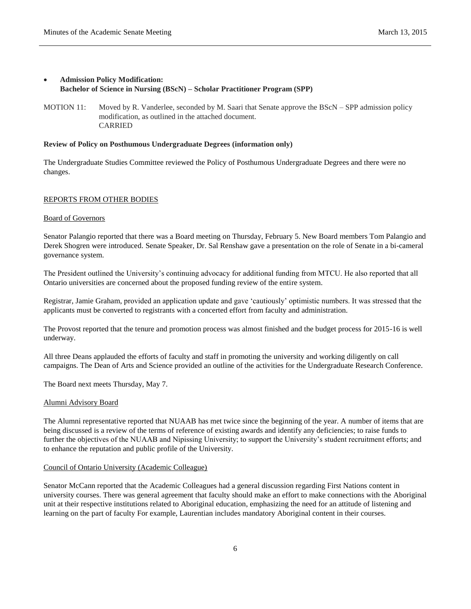# **Admission Policy Modification: Bachelor of Science in Nursing (BScN) – Scholar Practitioner Program (SPP)**

MOTION 11: Moved by R. Vanderlee, seconded by M. Saari that Senate approve the BScN – SPP admission policy modification, as outlined in the attached document. CARRIED

#### **Review of Policy on Posthumous Undergraduate Degrees (information only)**

The Undergraduate Studies Committee reviewed the Policy of Posthumous Undergraduate Degrees and there were no changes.

## REPORTS FROM OTHER BODIES

#### Board of Governors

Senator Palangio reported that there was a Board meeting on Thursday, February 5. New Board members Tom Palangio and Derek Shogren were introduced. Senate Speaker, Dr. Sal Renshaw gave a presentation on the role of Senate in a bi-cameral governance system.

The President outlined the University's continuing advocacy for additional funding from MTCU. He also reported that all Ontario universities are concerned about the proposed funding review of the entire system.

Registrar, Jamie Graham, provided an application update and gave 'cautiously' optimistic numbers. It was stressed that the applicants must be converted to registrants with a concerted effort from faculty and administration.

The Provost reported that the tenure and promotion process was almost finished and the budget process for 2015-16 is well underway.

All three Deans applauded the efforts of faculty and staff in promoting the university and working diligently on call campaigns. The Dean of Arts and Science provided an outline of the activities for the Undergraduate Research Conference.

The Board next meets Thursday, May 7.

#### Alumni Advisory Board

The Alumni representative reported that NUAAB has met twice since the beginning of the year. A number of items that are being discussed is a review of the terms of reference of existing awards and identify any deficiencies; to raise funds to further the objectives of the NUAAB and Nipissing University; to support the University's student recruitment efforts; and to enhance the reputation and public profile of the University.

#### Council of Ontario University (Academic Colleague)

Senator McCann reported that the Academic Colleagues had a general discussion regarding First Nations content in university courses. There was general agreement that faculty should make an effort to make connections with the Aboriginal unit at their respective institutions related to Aboriginal education, emphasizing the need for an attitude of listening and learning on the part of faculty For example, Laurentian includes mandatory Aboriginal content in their courses.